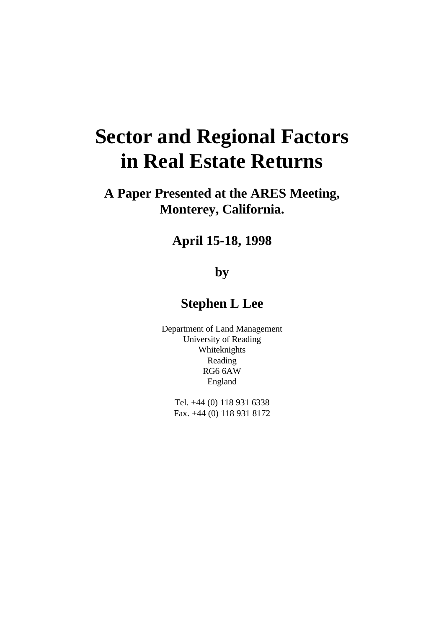# **Sector and Regional Factors in Real Estate Returns**

# **A Paper Presented at the ARES Meeting, Monterey, California.**

# **April 15-18, 1998**

# **by**

# **Stephen L Lee**

Department of Land Management University of Reading Whiteknights Reading RG6 6AW England

Tel. +44 (0) 118 931 6338 Fax. +44 (0) 118 931 8172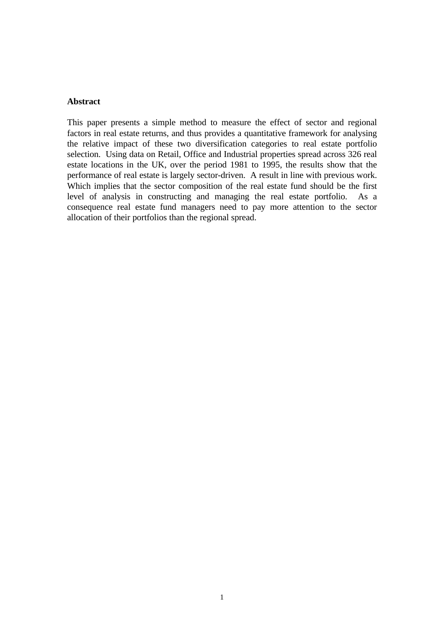#### **Abstract**

This paper presents a simple method to measure the effect of sector and regional factors in real estate returns, and thus provides a quantitative framework for analysing the relative impact of these two diversification categories to real estate portfolio selection. Using data on Retail, Office and Industrial properties spread across 326 real estate locations in the UK, over the period 1981 to 1995, the results show that the performance of real estate is largely sector-driven. A result in line with previous work. Which implies that the sector composition of the real estate fund should be the first level of analysis in constructing and managing the real estate portfolio. As a consequence real estate fund managers need to pay more attention to the sector allocation of their portfolios than the regional spread.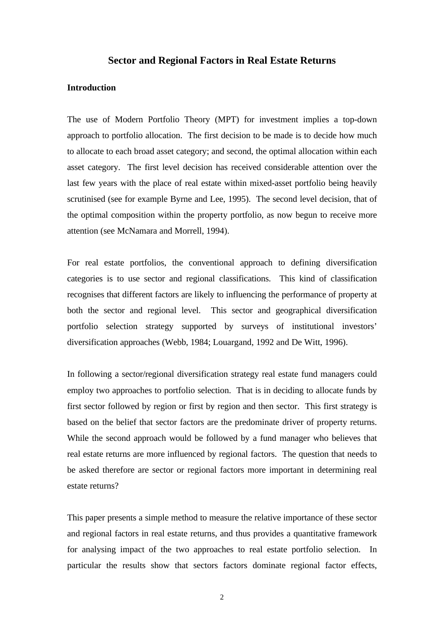### **Sector and Regional Factors in Real Estate Returns**

## **Introduction**

The use of Modern Portfolio Theory (MPT) for investment implies a top-down approach to portfolio allocation. The first decision to be made is to decide how much to allocate to each broad asset category; and second, the optimal allocation within each asset category. The first level decision has received considerable attention over the last few years with the place of real estate within mixed-asset portfolio being heavily scrutinised (see for example Byrne and Lee, 1995). The second level decision, that of the optimal composition within the property portfolio, as now begun to receive more attention (see McNamara and Morrell, 1994).

For real estate portfolios, the conventional approach to defining diversification categories is to use sector and regional classifications. This kind of classification recognises that different factors are likely to influencing the performance of property at both the sector and regional level. This sector and geographical diversification portfolio selection strategy supported by surveys of institutional investors' diversification approaches (Webb, 1984; Louargand, 1992 and De Witt, 1996).

In following a sector/regional diversification strategy real estate fund managers could employ two approaches to portfolio selection. That is in deciding to allocate funds by first sector followed by region or first by region and then sector. This first strategy is based on the belief that sector factors are the predominate driver of property returns. While the second approach would be followed by a fund manager who believes that real estate returns are more influenced by regional factors. The question that needs to be asked therefore are sector or regional factors more important in determining real estate returns?

This paper presents a simple method to measure the relative importance of these sector and regional factors in real estate returns, and thus provides a quantitative framework for analysing impact of the two approaches to real estate portfolio selection. In particular the results show that sectors factors dominate regional factor effects,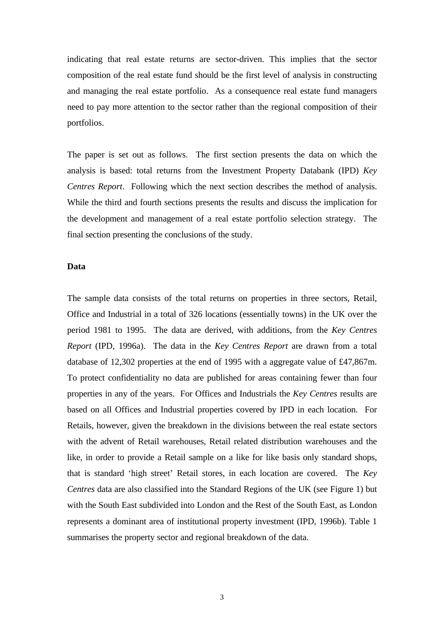indicating that real estate returns are sector-driven. This implies that the sector composition of the real estate fund should be the first level of analysis in constructing and managing the real estate portfolio. As a consequence real estate fund managers need to pay more attention to the sector rather than the regional composition of their portfolios.

The paper is set out as follows. The first section presents the data on which the analysis is based: total returns from the Investment Property Databank (IPD) *Key Centres Report*. Following which the next section describes the method of analysis. While the third and fourth sections presents the results and discuss the implication for the development and management of a real estate portfolio selection strategy. The final section presenting the conclusions of the study.

## **Data**

The sample data consists of the total returns on properties in three sectors, Retail, Office and Industrial in a total of 326 locations (essentially towns) in the UK over the period 1981 to 1995. The data are derived, with additions, from the *Key Centres Report* (IPD, 1996a). The data in the *Key Centres Report* are drawn from a total database of 12,302 properties at the end of 1995 with a aggregate value of £47,867m. To protect confidentiality no data are published for areas containing fewer than four properties in any of the years. For Offices and Industrials the *Key Centres* results are based on all Offices and Industrial properties covered by IPD in each location. For Retails, however, given the breakdown in the divisions between the real estate sectors with the advent of Retail warehouses, Retail related distribution warehouses and the like, in order to provide a Retail sample on a like for like basis only standard shops, that is standard 'high street' Retail stores, in each location are covered. The *Key Centres* data are also classified into the Standard Regions of the UK (see Figure 1) but with the South East subdivided into London and the Rest of the South East, as London represents a dominant area of institutional property investment (IPD, 1996b). Table 1 summarises the property sector and regional breakdown of the data.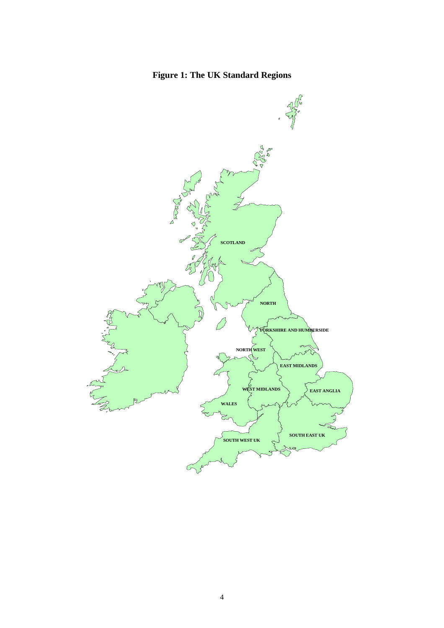# **Figure 1: The UK Standard Regions**

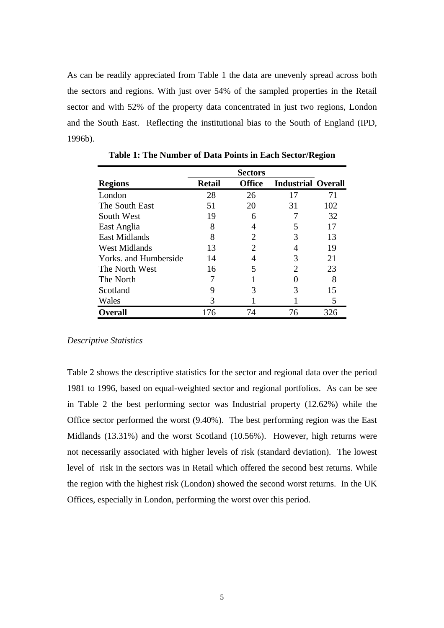As can be readily appreciated from Table 1 the data are unevenly spread across both the sectors and regions. With just over 54% of the sampled properties in the Retail sector and with 52% of the property data concentrated in just two regions, London and the South East. Reflecting the institutional bias to the South of England (IPD, 1996b).

|                       |               | <b>Sectors</b> |                           |     |
|-----------------------|---------------|----------------|---------------------------|-----|
| <b>Regions</b>        | <b>Retail</b> | <b>Office</b>  | <b>Industrial Overall</b> |     |
| London                | 28            | 26             | 17                        | 71  |
| The South East        | 51            | 20             | 31                        | 102 |
| South West            | 19            | 6              |                           | 32  |
| East Anglia           | 8             |                |                           | 17  |
| <b>East Midlands</b>  | 8             | 2              | 3                         | 13  |
| <b>West Midlands</b>  | 13            | 2              |                           | 19  |
| Yorks, and Humberside | 14            |                | 3                         | 21  |
| The North West        | 16            |                | 2                         | 23  |
| The North             |               |                |                           | 8   |
| Scotland              | Q             |                |                           | 15  |
| Wales                 | 3             |                |                           | 5   |
| <b>Overall</b>        | 76            | 74             | 76                        | 326 |

**Table 1: The Number of Data Points in Each Sector/Region**

#### *Descriptive Statistics*

Table 2 shows the descriptive statistics for the sector and regional data over the period 1981 to 1996, based on equal-weighted sector and regional portfolios. As can be see in Table 2 the best performing sector was Industrial property (12.62%) while the Office sector performed the worst (9.40%). The best performing region was the East Midlands (13.31%) and the worst Scotland (10.56%). However, high returns were not necessarily associated with higher levels of risk (standard deviation). The lowest level of risk in the sectors was in Retail which offered the second best returns. While the region with the highest risk (London) showed the second worst returns. In the UK Offices, especially in London, performing the worst over this period.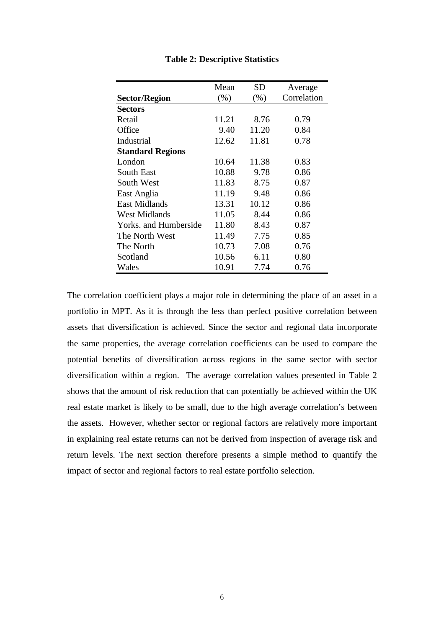|                         | Mean   | SD    | Average     |
|-------------------------|--------|-------|-------------|
| <b>Sector/Region</b>    | $(\%)$ | (% )  | Correlation |
| <b>Sectors</b>          |        |       |             |
| Retail                  | 11.21  | 8.76  | 0.79        |
| Office                  | 9.40   | 11.20 | 0.84        |
| Industrial              | 12.62  | 11.81 | 0.78        |
| <b>Standard Regions</b> |        |       |             |
| London                  | 10.64  | 11.38 | 0.83        |
| <b>South East</b>       | 10.88  | 9.78  | 0.86        |
| South West              | 11.83  | 8.75  | 0.87        |
| East Anglia             | 11.19  | 9.48  | 0.86        |
| East Midlands           | 13.31  | 10.12 | 0.86        |
| West Midlands           | 11.05  | 8.44  | 0.86        |
| Yorks, and Humberside   | 11.80  | 8.43  | 0.87        |
| The North West          | 11.49  | 7.75  | 0.85        |
| The North               | 10.73  | 7.08  | 0.76        |
| Scotland                | 10.56  | 6.11  | 0.80        |
| Wales                   | 10.91  | 7.74  | 0.76        |

**Table 2: Descriptive Statistics**

The correlation coefficient plays a major role in determining the place of an asset in a portfolio in MPT. As it is through the less than perfect positive correlation between assets that diversification is achieved. Since the sector and regional data incorporate the same properties, the average correlation coefficients can be used to compare the potential benefits of diversification across regions in the same sector with sector diversification within a region. The average correlation values presented in Table 2 shows that the amount of risk reduction that can potentially be achieved within the UK real estate market is likely to be small, due to the high average correlation's between the assets. However, whether sector or regional factors are relatively more important in explaining real estate returns can not be derived from inspection of average risk and return levels. The next section therefore presents a simple method to quantify the impact of sector and regional factors to real estate portfolio selection.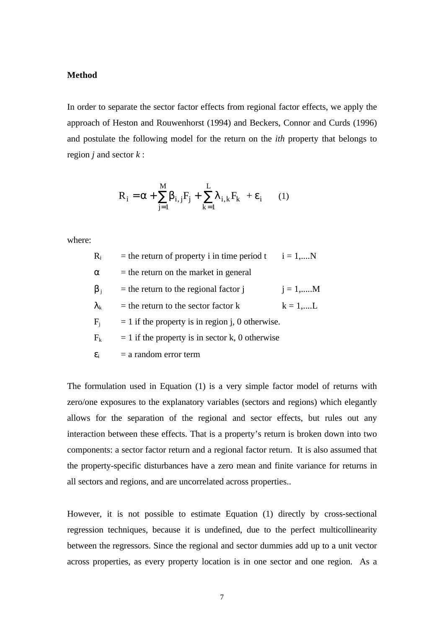#### **Method**

In order to separate the sector factor effects from regional factor effects, we apply the approach of Heston and Rouwenhorst (1994) and Beckers, Connor and Curds (1996) and postulate the following model for the return on the *ith* property that belongs to region *j* and sector *k* :

$$
R_i = \alpha + \sum_{j=1}^{M} \beta_{i,j} F_j + \sum_{k=1}^{L} \lambda_{i,k} F_k + \varepsilon_i \qquad (1)
$$

where:

| $R_i$              | $=$ the return of property i in time period t      | $i = 1,N$         |
|--------------------|----------------------------------------------------|-------------------|
| α                  | $=$ the return on the market in general            |                   |
| $\beta_i$          | $=$ the return to the regional factor $\mathbf{i}$ | $i = 1, \dots M$  |
| $\lambda_{\rm k}$  | $=$ the return to the sector factor $k$            | $k = 1, \dots, L$ |
| $\rm F_i$          | $= 1$ if the property is in region j, 0 otherwise. |                   |
| $\rm F_k$          | $= 1$ if the property is in sector k, 0 otherwise  |                   |
| $\epsilon_{\rm i}$ | $=$ a random error term                            |                   |

The formulation used in Equation (1) is a very simple factor model of returns with zero/one exposures to the explanatory variables (sectors and regions) which elegantly allows for the separation of the regional and sector effects, but rules out any interaction between these effects. That is a property's return is broken down into two components: a sector factor return and a regional factor return. It is also assumed that the property-specific disturbances have a zero mean and finite variance for returns in all sectors and regions, and are uncorrelated across properties..

However, it is not possible to estimate Equation (1) directly by cross-sectional regression techniques, because it is undefined, due to the perfect multicollinearity between the regressors. Since the regional and sector dummies add up to a unit vector across properties, as every property location is in one sector and one region. As a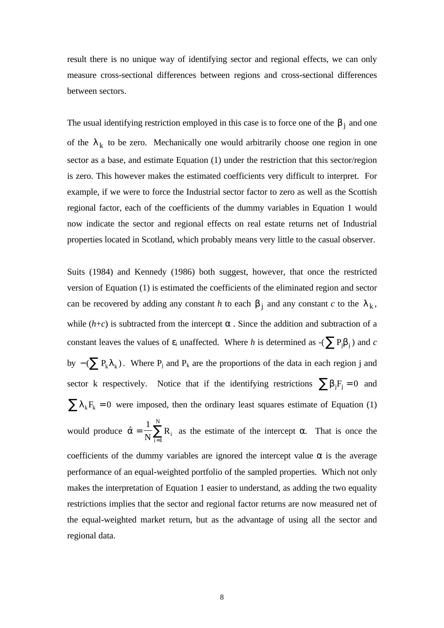result there is no unique way of identifying sector and regional effects, we can only measure cross-sectional differences between regions and cross-sectional differences between sectors.

The usual identifying restriction employed in this case is to force one of the  $\beta_j$  and one of the  $\lambda_k$  to be zero. Mechanically one would arbitrarily choose one region in one sector as a base, and estimate Equation (1) under the restriction that this sector/region is zero. This however makes the estimated coefficients very difficult to interpret. For example, if we were to force the Industrial sector factor to zero as well as the Scottish regional factor, each of the coefficients of the dummy variables in Equation 1 would now indicate the sector and regional effects on real estate returns net of Industrial properties located in Scotland, which probably means very little to the casual observer.

Suits (1984) and Kennedy (1986) both suggest, however, that once the restricted version of Equation (1) is estimated the coefficients of the eliminated region and sector can be recovered by adding any constant *h* to each  $\beta_j$  and any constant *c* to the  $\lambda_k$ , while  $(h+c)$  is subtracted from the intercept  $\alpha$ . Since the addition and subtraction of a constant leaves the values of  $\varepsilon_i$  unaffected. Where *h* is determined as  $-(\sum P_j \beta_j)$  and *c* by  $-(\sum P_k \lambda_k)$ . Where  $P_j$  and  $P_k$  are the proportions of the data in each region j and sector k respectively. Notice that if the identifying restrictions  $\sum \beta_j F_j = 0$  and  $\sum \lambda_k F_k = 0$  were imposed, then the ordinary least squares estimate of Equation (1) would produce  $\hat{\alpha} =$  $\frac{1}{N}\sum_{i=1}^{N}$  $N \nightharpoonup_{i=1}$  $R_i$ i N as the estimate of the intercept  $\alpha$ . That is once the coefficients of the dummy variables are ignored the intercept value  $\alpha$  is the average performance of an equal-weighted portfolio of the sampled properties. Which not only makes the interpretation of Equation 1 easier to understand, as adding the two equality restrictions implies that the sector and regional factor returns are now measured net of the equal-weighted market return, but as the advantage of using all the sector and regional data.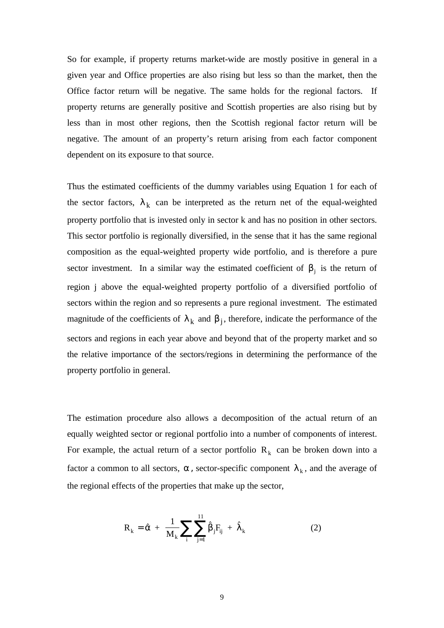So for example, if property returns market-wide are mostly positive in general in a given year and Office properties are also rising but less so than the market, then the Office factor return will be negative. The same holds for the regional factors. If property returns are generally positive and Scottish properties are also rising but by less than in most other regions, then the Scottish regional factor return will be negative. The amount of an property's return arising from each factor component dependent on its exposure to that source.

Thus the estimated coefficients of the dummy variables using Equation 1 for each of the sector factors,  $\lambda_k$  can be interpreted as the return net of the equal-weighted property portfolio that is invested only in sector k and has no position in other sectors. This sector portfolio is regionally diversified, in the sense that it has the same regional composition as the equal-weighted property wide portfolio, and is therefore a pure sector investment. In a similar way the estimated coefficient of  $\beta_j$  is the return of region j above the equal-weighted property portfolio of a diversified portfolio of sectors within the region and so represents a pure regional investment. The estimated magnitude of the coefficients of  $\lambda_k$  and  $\beta_j$ , therefore, indicate the performance of the sectors and regions in each year above and beyond that of the property market and so the relative importance of the sectors/regions in determining the performance of the property portfolio in general.

The estimation procedure also allows a decomposition of the actual return of an equally weighted sector or regional portfolio into a number of components of interest. For example, the actual return of a sector portfolio  $R_k$  can be broken down into a factor a common to all sectors,  $\alpha$ , sector-specific component  $\lambda_k$ , and the average of the regional effects of the properties that make up the sector,

$$
R_{k} = \hat{\alpha} + \frac{1}{M_{k}} \sum_{i} \sum_{j=1}^{11} \hat{\beta}_{j} F_{ij} + \hat{\lambda}_{k}
$$
 (2)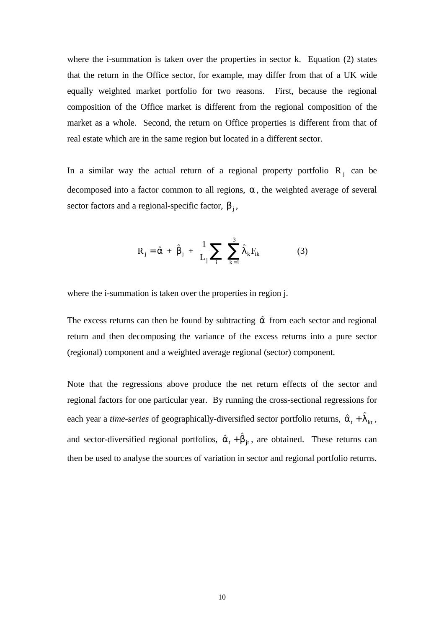where the i-summation is taken over the properties in sector k. Equation (2) states that the return in the Office sector, for example, may differ from that of a UK wide equally weighted market portfolio for two reasons. First, because the regional composition of the Office market is different from the regional composition of the market as a whole. Second, the return on Office properties is different from that of real estate which are in the same region but located in a different sector.

In a similar way the actual return of a regional property portfolio  $R_j$  can be decomposed into a factor common to all regions,  $\alpha$ , the weighted average of several sector factors and a regional-specific factor,  $\beta_j$ ,

$$
R_{j} = \hat{\alpha} + \hat{\beta}_{j} + \frac{1}{L_{j}} \sum_{i} \sum_{k=1}^{3} \hat{\lambda}_{k} F_{ik}
$$
 (3)

where the i-summation is taken over the properties in region j.

The excess returns can then be found by subtracting  $\hat{\alpha}$  from each sector and regional return and then decomposing the variance of the excess returns into a pure sector (regional) component and a weighted average regional (sector) component.

Note that the regressions above produce the net return effects of the sector and regional factors for one particular year. By running the cross-sectional regressions for each year a *time-series* of geographically-diversified sector portfolio returns,  $\hat{\alpha}_t + \hat{\lambda}_{kt}$ , and sector-diversified regional portfolios,  $\hat{\alpha}_t + \hat{\beta}_{jt}$ , are obtained. These returns can then be used to analyse the sources of variation in sector and regional portfolio returns.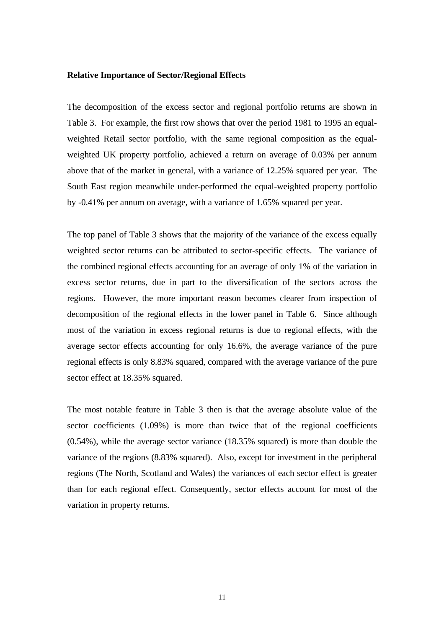#### **Relative Importance of Sector/Regional Effects**

The decomposition of the excess sector and regional portfolio returns are shown in Table 3. For example, the first row shows that over the period 1981 to 1995 an equalweighted Retail sector portfolio, with the same regional composition as the equalweighted UK property portfolio, achieved a return on average of 0.03% per annum above that of the market in general, with a variance of 12.25% squared per year. The South East region meanwhile under-performed the equal-weighted property portfolio by -0.41% per annum on average, with a variance of 1.65% squared per year.

The top panel of Table 3 shows that the majority of the variance of the excess equally weighted sector returns can be attributed to sector-specific effects. The variance of the combined regional effects accounting for an average of only 1% of the variation in excess sector returns, due in part to the diversification of the sectors across the regions. However, the more important reason becomes clearer from inspection of decomposition of the regional effects in the lower panel in Table 6. Since although most of the variation in excess regional returns is due to regional effects, with the average sector effects accounting for only 16.6%, the average variance of the pure regional effects is only 8.83% squared, compared with the average variance of the pure sector effect at 18.35% squared.

The most notable feature in Table 3 then is that the average absolute value of the sector coefficients (1.09%) is more than twice that of the regional coefficients (0.54%), while the average sector variance (18.35% squared) is more than double the variance of the regions (8.83% squared). Also, except for investment in the peripheral regions (The North, Scotland and Wales) the variances of each sector effect is greater than for each regional effect. Consequently, sector effects account for most of the variation in property returns.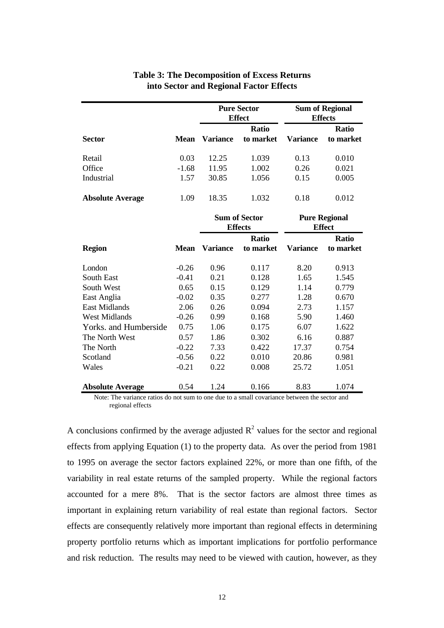## **Table 3: The Decomposition of Excess Returns into Sector and Regional Factor Effects**

| <b>Sector</b>           |             | <b>Pure Sector</b><br><b>Effect</b> |                           | <b>Sum of Regional</b><br><b>Effects</b> |                           |
|-------------------------|-------------|-------------------------------------|---------------------------|------------------------------------------|---------------------------|
|                         | <b>Mean</b> | <b>Variance</b>                     | <b>Ratio</b><br>to market | Variance                                 | <b>Ratio</b><br>to market |
| Retail                  | 0.03        | 12.25                               | 1.039                     | 0.13                                     | 0.010                     |
| Office                  | $-1.68$     | 11.95                               | 1.002                     | 0.26                                     | 0.021                     |
| Industrial              | 1.57        | 30.85                               | 1.056                     | 0.15                                     | 0.005                     |
| <b>Absolute Average</b> | 1.09        | 18.35                               | 1.032                     | 0.18                                     | 0.012                     |

|                         |             | <b>Sum of Sector</b><br><b>Effects</b> |                           | <b>Pure Regional</b><br><b>Effect</b> |                           |
|-------------------------|-------------|----------------------------------------|---------------------------|---------------------------------------|---------------------------|
| <b>Region</b>           | <b>Mean</b> | Variance                               | <b>Ratio</b><br>to market | Variance                              | <b>Ratio</b><br>to market |
| London                  | $-0.26$     | 0.96                                   | 0.117                     | 8.20                                  | 0.913                     |
| South East              | $-0.41$     | 0.21                                   | 0.128                     | 1.65                                  | 1.545                     |
| South West              | 0.65        | 0.15                                   | 0.129                     | 1.14                                  | 0.779                     |
| East Anglia             | $-0.02$     | 0.35                                   | 0.277                     | 1.28                                  | 0.670                     |
| East Midlands           | 2.06        | 0.26                                   | 0.094                     | 2.73                                  | 1.157                     |
| West Midlands           | $-0.26$     | 0.99                                   | 0.168                     | 5.90                                  | 1.460                     |
| Yorks. and Humberside   | 0.75        | 1.06                                   | 0.175                     | 6.07                                  | 1.622                     |
| The North West          | 0.57        | 1.86                                   | 0.302                     | 6.16                                  | 0.887                     |
| The North               | $-0.22$     | 7.33                                   | 0.422                     | 17.37                                 | 0.754                     |
| Scotland                | $-0.56$     | 0.22                                   | 0.010                     | 20.86                                 | 0.981                     |
| Wales                   | $-0.21$     | 0.22                                   | 0.008                     | 25.72                                 | 1.051                     |
| <b>Absolute Average</b> | 0.54        | 1.24                                   | 0.166                     | 8.83                                  | 1.074                     |

Note: The variance ratios do not sum to one due to a small covariance between the sector and regional effects

A conclusions confirmed by the average adjusted  $R^2$  values for the sector and regional effects from applying Equation (1) to the property data. As over the period from 1981 to 1995 on average the sector factors explained 22%, or more than one fifth, of the variability in real estate returns of the sampled property. While the regional factors accounted for a mere 8%. That is the sector factors are almost three times as important in explaining return variability of real estate than regional factors. Sector effects are consequently relatively more important than regional effects in determining property portfolio returns which as important implications for portfolio performance and risk reduction. The results may need to be viewed with caution, however, as they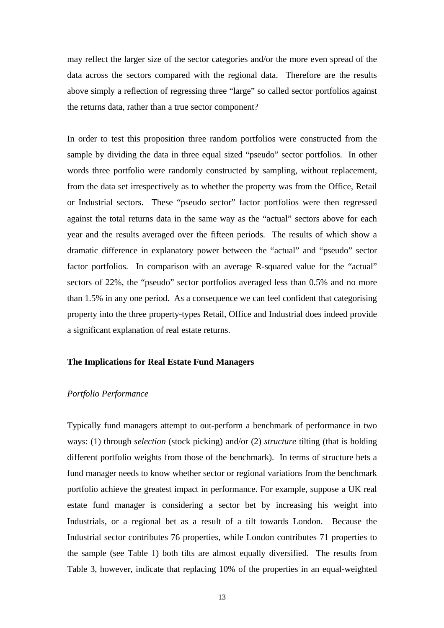may reflect the larger size of the sector categories and/or the more even spread of the data across the sectors compared with the regional data. Therefore are the results above simply a reflection of regressing three "large" so called sector portfolios against the returns data, rather than a true sector component?

In order to test this proposition three random portfolios were constructed from the sample by dividing the data in three equal sized "pseudo" sector portfolios. In other words three portfolio were randomly constructed by sampling, without replacement, from the data set irrespectively as to whether the property was from the Office, Retail or Industrial sectors. These "pseudo sector" factor portfolios were then regressed against the total returns data in the same way as the "actual" sectors above for each year and the results averaged over the fifteen periods. The results of which show a dramatic difference in explanatory power between the "actual" and "pseudo" sector factor portfolios. In comparison with an average R-squared value for the "actual" sectors of 22%, the "pseudo" sector portfolios averaged less than 0.5% and no more than 1.5% in any one period. As a consequence we can feel confident that categorising property into the three property-types Retail, Office and Industrial does indeed provide a significant explanation of real estate returns.

### **The Implications for Real Estate Fund Managers**

#### *Portfolio Performance*

Typically fund managers attempt to out-perform a benchmark of performance in two ways: (1) through *selection* (stock picking) and/or (2) *structure* tilting (that is holding different portfolio weights from those of the benchmark). In terms of structure bets a fund manager needs to know whether sector or regional variations from the benchmark portfolio achieve the greatest impact in performance. For example, suppose a UK real estate fund manager is considering a sector bet by increasing his weight into Industrials, or a regional bet as a result of a tilt towards London. Because the Industrial sector contributes 76 properties, while London contributes 71 properties to the sample (see Table 1) both tilts are almost equally diversified. The results from Table 3, however, indicate that replacing 10% of the properties in an equal-weighted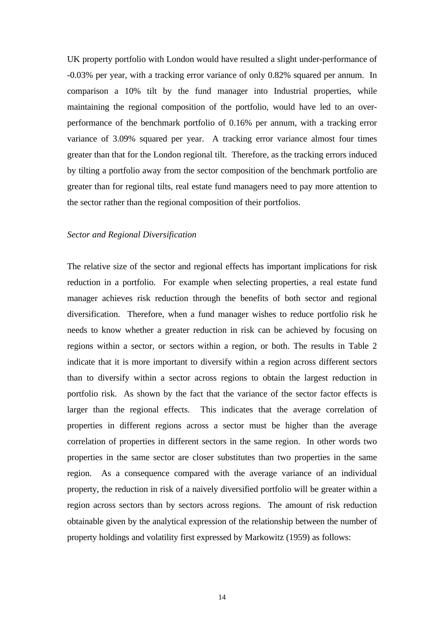UK property portfolio with London would have resulted a slight under-performance of -0.03% per year, with a tracking error variance of only 0.82% squared per annum. In comparison a 10% tilt by the fund manager into Industrial properties, while maintaining the regional composition of the portfolio, would have led to an overperformance of the benchmark portfolio of 0.16% per annum, with a tracking error variance of 3.09% squared per year. A tracking error variance almost four times greater than that for the London regional tilt. Therefore, as the tracking errors induced by tilting a portfolio away from the sector composition of the benchmark portfolio are greater than for regional tilts, real estate fund managers need to pay more attention to the sector rather than the regional composition of their portfolios.

#### *Sector and Regional Diversification*

The relative size of the sector and regional effects has important implications for risk reduction in a portfolio. For example when selecting properties, a real estate fund manager achieves risk reduction through the benefits of both sector and regional diversification. Therefore, when a fund manager wishes to reduce portfolio risk he needs to know whether a greater reduction in risk can be achieved by focusing on regions within a sector, or sectors within a region, or both. The results in Table 2 indicate that it is more important to diversify within a region across different sectors than to diversify within a sector across regions to obtain the largest reduction in portfolio risk. As shown by the fact that the variance of the sector factor effects is larger than the regional effects. This indicates that the average correlation of properties in different regions across a sector must be higher than the average correlation of properties in different sectors in the same region. In other words two properties in the same sector are closer substitutes than two properties in the same region. As a consequence compared with the average variance of an individual property, the reduction in risk of a naively diversified portfolio will be greater within a region across sectors than by sectors across regions. The amount of risk reduction obtainable given by the analytical expression of the relationship between the number of property holdings and volatility first expressed by Markowitz (1959) as follows: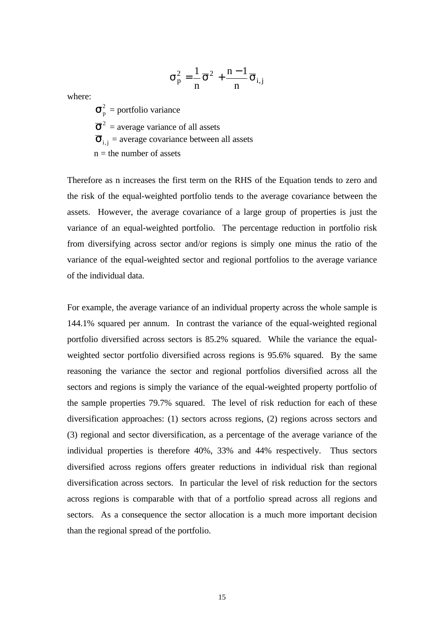$$
\sigma_p^2 = \frac{1}{n}\overline{\sigma}^2 + \frac{n-1}{n}\overline{\sigma}_{i,j}
$$

where:

 $\sigma_{\rm p}^2$  = portfolio variance  $\overline{\sigma}^2$  = average variance of all assets  $\overline{\sigma}_{i,j}$  = average covariance between all assets  $n =$  the number of assets

Therefore as n increases the first term on the RHS of the Equation tends to zero and the risk of the equal-weighted portfolio tends to the average covariance between the assets. However, the average covariance of a large group of properties is just the variance of an equal-weighted portfolio. The percentage reduction in portfolio risk from diversifying across sector and/or regions is simply one minus the ratio of the variance of the equal-weighted sector and regional portfolios to the average variance of the individual data.

For example, the average variance of an individual property across the whole sample is 144.1% squared per annum. In contrast the variance of the equal-weighted regional portfolio diversified across sectors is 85.2% squared. While the variance the equalweighted sector portfolio diversified across regions is 95.6% squared. By the same reasoning the variance the sector and regional portfolios diversified across all the sectors and regions is simply the variance of the equal-weighted property portfolio of the sample properties 79.7% squared. The level of risk reduction for each of these diversification approaches: (1) sectors across regions, (2) regions across sectors and (3) regional and sector diversification, as a percentage of the average variance of the individual properties is therefore 40%, 33% and 44% respectively. Thus sectors diversified across regions offers greater reductions in individual risk than regional diversification across sectors. In particular the level of risk reduction for the sectors across regions is comparable with that of a portfolio spread across all regions and sectors. As a consequence the sector allocation is a much more important decision than the regional spread of the portfolio.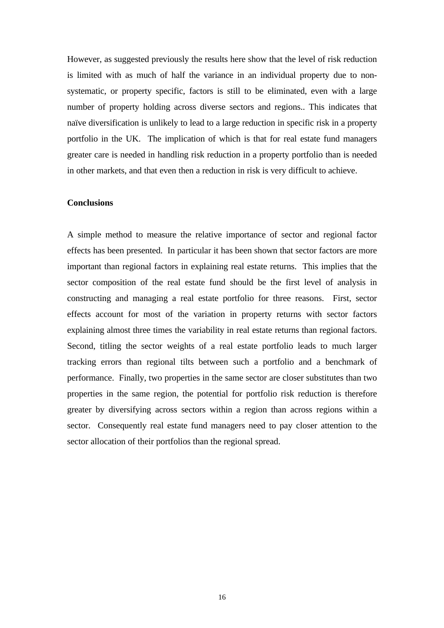However, as suggested previously the results here show that the level of risk reduction is limited with as much of half the variance in an individual property due to nonsystematic, or property specific, factors is still to be eliminated, even with a large number of property holding across diverse sectors and regions.. This indicates that naïve diversification is unlikely to lead to a large reduction in specific risk in a property portfolio in the UK. The implication of which is that for real estate fund managers greater care is needed in handling risk reduction in a property portfolio than is needed in other markets, and that even then a reduction in risk is very difficult to achieve.

#### **Conclusions**

A simple method to measure the relative importance of sector and regional factor effects has been presented. In particular it has been shown that sector factors are more important than regional factors in explaining real estate returns. This implies that the sector composition of the real estate fund should be the first level of analysis in constructing and managing a real estate portfolio for three reasons. First, sector effects account for most of the variation in property returns with sector factors explaining almost three times the variability in real estate returns than regional factors. Second, titling the sector weights of a real estate portfolio leads to much larger tracking errors than regional tilts between such a portfolio and a benchmark of performance. Finally, two properties in the same sector are closer substitutes than two properties in the same region, the potential for portfolio risk reduction is therefore greater by diversifying across sectors within a region than across regions within a sector. Consequently real estate fund managers need to pay closer attention to the sector allocation of their portfolios than the regional spread.